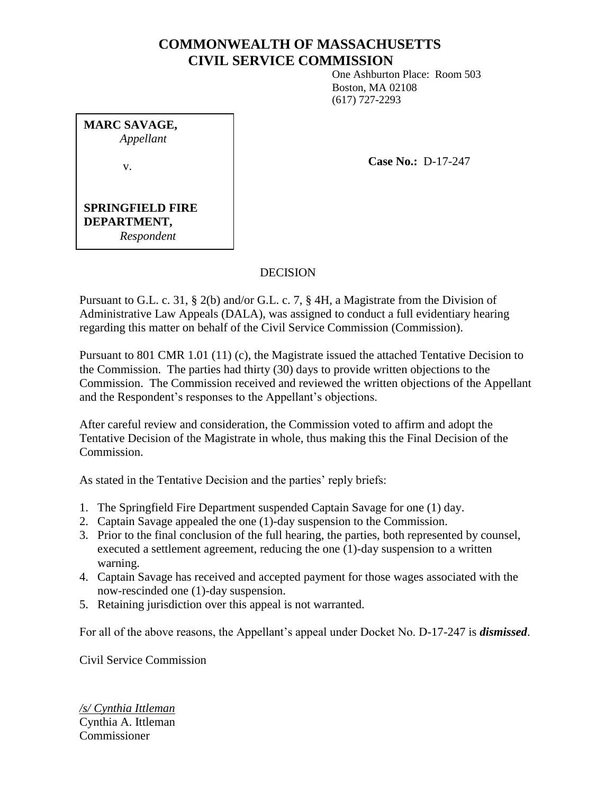# **COMMONWEALTH OF MASSACHUSETTS CIVIL SERVICE COMMISSION**

One Ashburton Place: Room 503 Boston, MA 02108 (617) 727-2293

**MARC SAVAGE,** *Appellant* v.

**Case No.:** D-17-247

### **SPRINGFIELD FIRE DEPARTMENT,** *Respondent*

## DECISION

Pursuant to G.L. c. 31, § 2(b) and/or G.L. c. 7, § 4H, a Magistrate from the Division of Administrative Law Appeals (DALA), was assigned to conduct a full evidentiary hearing regarding this matter on behalf of the Civil Service Commission (Commission).

Pursuant to 801 CMR 1.01 (11) (c), the Magistrate issued the attached Tentative Decision to the Commission. The parties had thirty (30) days to provide written objections to the Commission. The Commission received and reviewed the written objections of the Appellant and the Respondent's responses to the Appellant's objections.

After careful review and consideration, the Commission voted to affirm and adopt the Tentative Decision of the Magistrate in whole, thus making this the Final Decision of the Commission.

As stated in the Tentative Decision and the parties' reply briefs:

- 1. The Springfield Fire Department suspended Captain Savage for one (1) day.
- 2. Captain Savage appealed the one (1)-day suspension to the Commission.
- 3. Prior to the final conclusion of the full hearing, the parties, both represented by counsel, executed a settlement agreement, reducing the one (1)-day suspension to a written warning.
- 4. Captain Savage has received and accepted payment for those wages associated with the now-rescinded one (1)-day suspension.
- 5. Retaining jurisdiction over this appeal is not warranted.

For all of the above reasons, the Appellant's appeal under Docket No. D-17-247 is *dismissed*.

Civil Service Commission

*/s/ Cynthia Ittleman* Cynthia A. Ittleman Commissioner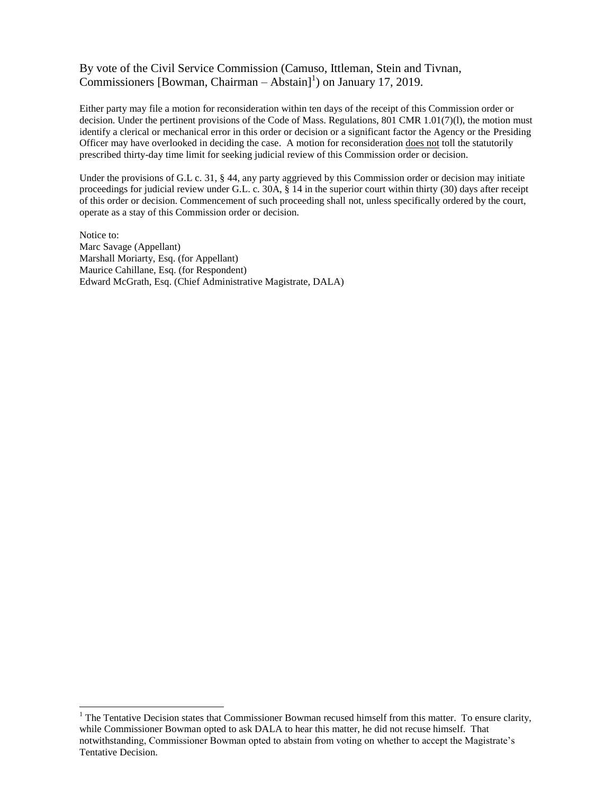### By vote of the Civil Service Commission (Camuso, Ittleman, Stein and Tivnan, Commissioners [Bowman, Chairman – Abstain]<sup>1</sup>) on January 17, 2019.

Either party may file a motion for reconsideration within ten days of the receipt of this Commission order or decision. Under the pertinent provisions of the Code of Mass. Regulations, 801 CMR 1.01(7)(l), the motion must identify a clerical or mechanical error in this order or decision or a significant factor the Agency or the Presiding Officer may have overlooked in deciding the case. A motion for reconsideration does not toll the statutorily prescribed thirty-day time limit for seeking judicial review of this Commission order or decision.

Under the provisions of G.L c. 31, § 44, any party aggrieved by this Commission order or decision may initiate proceedings for judicial review under G.L. c. 30A, § 14 in the superior court within thirty (30) days after receipt of this order or decision. Commencement of such proceeding shall not, unless specifically ordered by the court, operate as a stay of this Commission order or decision.

Notice to: Marc Savage (Appellant) Marshall Moriarty, Esq. (for Appellant) Maurice Cahillane, Esq. (for Respondent) Edward McGrath, Esq. (Chief Administrative Magistrate, DALA)

 $\overline{a}$ 

<sup>&</sup>lt;sup>1</sup> The Tentative Decision states that Commissioner Bowman recused himself from this matter. To ensure clarity, while Commissioner Bowman opted to ask DALA to hear this matter, he did not recuse himself. That notwithstanding, Commissioner Bowman opted to abstain from voting on whether to accept the Magistrate's Tentative Decision.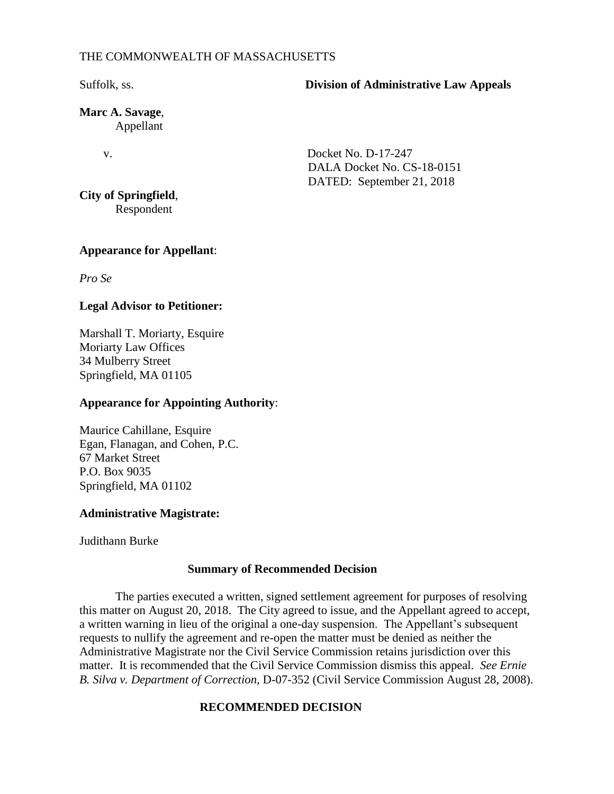#### THE COMMONWEALTH OF MASSACHUSETTS

#### Suffolk, ss. **Division of Administrative Law Appeals**

**Marc A. Savage**, Appellant

v. Docket No. D-17-247 DALA Docket No. CS-18-0151 DATED: September 21, 2018

**City of Springfield**, Respondent

### **Appearance for Appellant**:

*Pro Se*

## **Legal Advisor to Petitioner:**

Marshall T. Moriarty, Esquire Moriarty Law Offices 34 Mulberry Street Springfield, MA 01105

### **Appearance for Appointing Authority**:

Maurice Cahillane, Esquire Egan, Flanagan, and Cohen, P.C. 67 Market Street P.O. Box 9035 Springfield, MA 01102

## **Administrative Magistrate:**

Judithann Burke

#### **Summary of Recommended Decision**

The parties executed a written, signed settlement agreement for purposes of resolving this matter on August 20, 2018. The City agreed to issue, and the Appellant agreed to accept, a written warning in lieu of the original a one-day suspension. The Appellant's subsequent requests to nullify the agreement and re-open the matter must be denied as neither the Administrative Magistrate nor the Civil Service Commission retains jurisdiction over this matter. It is recommended that the Civil Service Commission dismiss this appeal. *See Ernie B. Silva v. Department of Correction,* D-07-352 (Civil Service Commission August 28, 2008).

## **RECOMMENDED DECISION**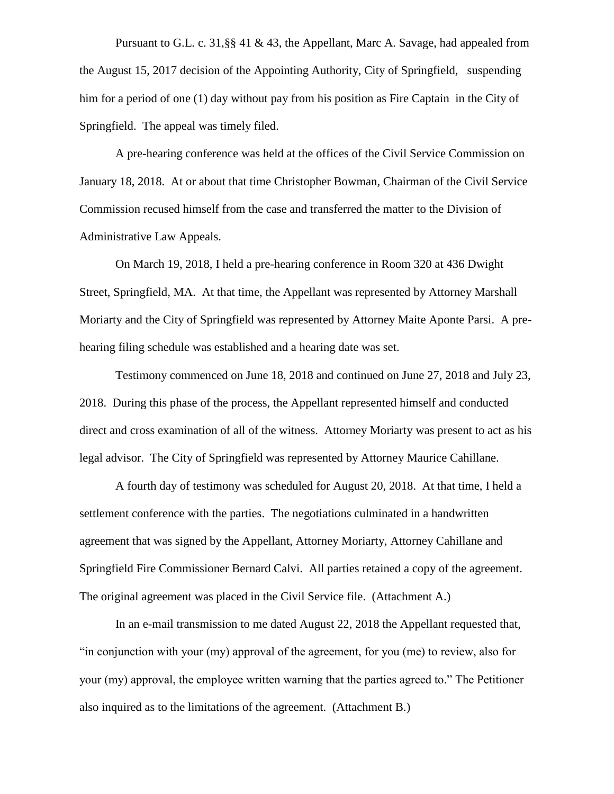Pursuant to G.L. c. 31,§§ 41 & 43, the Appellant, Marc A. Savage, had appealed from the August 15, 2017 decision of the Appointing Authority, City of Springfield, suspending him for a period of one (1) day without pay from his position as Fire Captain in the City of Springfield. The appeal was timely filed.

A pre-hearing conference was held at the offices of the Civil Service Commission on January 18, 2018. At or about that time Christopher Bowman, Chairman of the Civil Service Commission recused himself from the case and transferred the matter to the Division of Administrative Law Appeals.

On March 19, 2018, I held a pre-hearing conference in Room 320 at 436 Dwight Street, Springfield, MA. At that time, the Appellant was represented by Attorney Marshall Moriarty and the City of Springfield was represented by Attorney Maite Aponte Parsi. A prehearing filing schedule was established and a hearing date was set.

Testimony commenced on June 18, 2018 and continued on June 27, 2018 and July 23, 2018. During this phase of the process, the Appellant represented himself and conducted direct and cross examination of all of the witness. Attorney Moriarty was present to act as his legal advisor. The City of Springfield was represented by Attorney Maurice Cahillane.

A fourth day of testimony was scheduled for August 20, 2018. At that time, I held a settlement conference with the parties. The negotiations culminated in a handwritten agreement that was signed by the Appellant, Attorney Moriarty, Attorney Cahillane and Springfield Fire Commissioner Bernard Calvi. All parties retained a copy of the agreement. The original agreement was placed in the Civil Service file. (Attachment A.)

In an e-mail transmission to me dated August 22, 2018 the Appellant requested that, "in conjunction with your (my) approval of the agreement, for you (me) to review, also for your (my) approval, the employee written warning that the parties agreed to." The Petitioner also inquired as to the limitations of the agreement. (Attachment B.)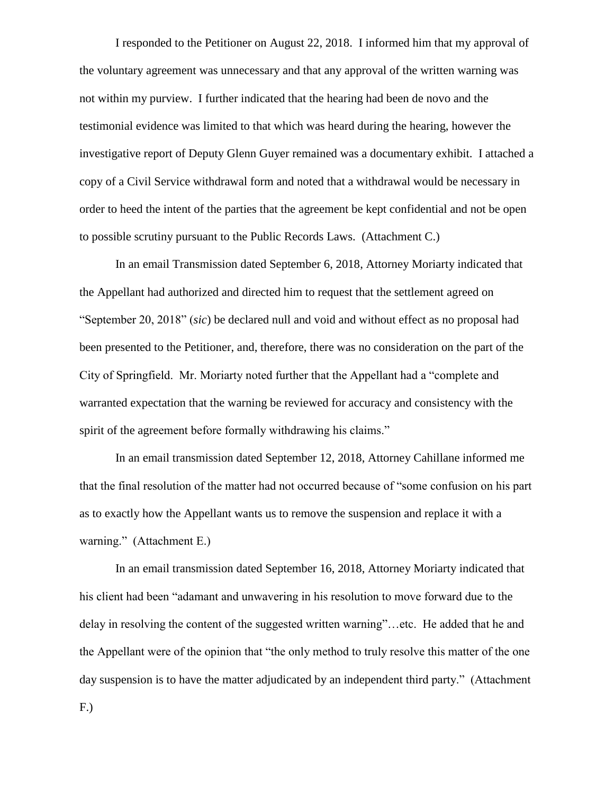I responded to the Petitioner on August 22, 2018. I informed him that my approval of the voluntary agreement was unnecessary and that any approval of the written warning was not within my purview. I further indicated that the hearing had been de novo and the testimonial evidence was limited to that which was heard during the hearing, however the investigative report of Deputy Glenn Guyer remained was a documentary exhibit. I attached a copy of a Civil Service withdrawal form and noted that a withdrawal would be necessary in order to heed the intent of the parties that the agreement be kept confidential and not be open to possible scrutiny pursuant to the Public Records Laws. (Attachment C.)

In an email Transmission dated September 6, 2018, Attorney Moriarty indicated that the Appellant had authorized and directed him to request that the settlement agreed on "September 20, 2018" (*sic*) be declared null and void and without effect as no proposal had been presented to the Petitioner, and, therefore, there was no consideration on the part of the City of Springfield. Mr. Moriarty noted further that the Appellant had a "complete and warranted expectation that the warning be reviewed for accuracy and consistency with the spirit of the agreement before formally withdrawing his claims."

In an email transmission dated September 12, 2018, Attorney Cahillane informed me that the final resolution of the matter had not occurred because of "some confusion on his part as to exactly how the Appellant wants us to remove the suspension and replace it with a warning." (Attachment E.)

In an email transmission dated September 16, 2018, Attorney Moriarty indicated that his client had been "adamant and unwavering in his resolution to move forward due to the delay in resolving the content of the suggested written warning"…etc. He added that he and the Appellant were of the opinion that "the only method to truly resolve this matter of the one day suspension is to have the matter adjudicated by an independent third party." (Attachment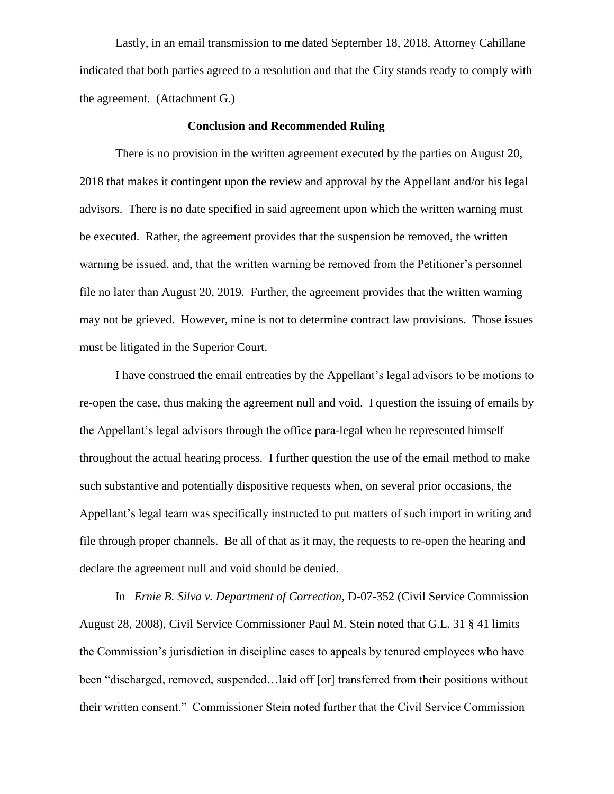Lastly, in an email transmission to me dated September 18, 2018, Attorney Cahillane indicated that both parties agreed to a resolution and that the City stands ready to comply with the agreement. (Attachment G.)

#### **Conclusion and Recommended Ruling**

There is no provision in the written agreement executed by the parties on August 20, 2018 that makes it contingent upon the review and approval by the Appellant and/or his legal advisors. There is no date specified in said agreement upon which the written warning must be executed. Rather, the agreement provides that the suspension be removed, the written warning be issued, and, that the written warning be removed from the Petitioner's personnel file no later than August 20, 2019. Further, the agreement provides that the written warning may not be grieved. However, mine is not to determine contract law provisions. Those issues must be litigated in the Superior Court.

I have construed the email entreaties by the Appellant's legal advisors to be motions to re-open the case, thus making the agreement null and void. I question the issuing of emails by the Appellant's legal advisors through the office para-legal when he represented himself throughout the actual hearing process. I further question the use of the email method to make such substantive and potentially dispositive requests when, on several prior occasions, the Appellant's legal team was specifically instructed to put matters of such import in writing and file through proper channels. Be all of that as it may, the requests to re-open the hearing and declare the agreement null and void should be denied.

In *Ernie B. Silva v. Department of Correction,* D-07-352 (Civil Service Commission August 28, 2008), Civil Service Commissioner Paul M. Stein noted that G.L. 31 § 41 limits the Commission's jurisdiction in discipline cases to appeals by tenured employees who have been "discharged, removed, suspended…laid off [or] transferred from their positions without their written consent." Commissioner Stein noted further that the Civil Service Commission